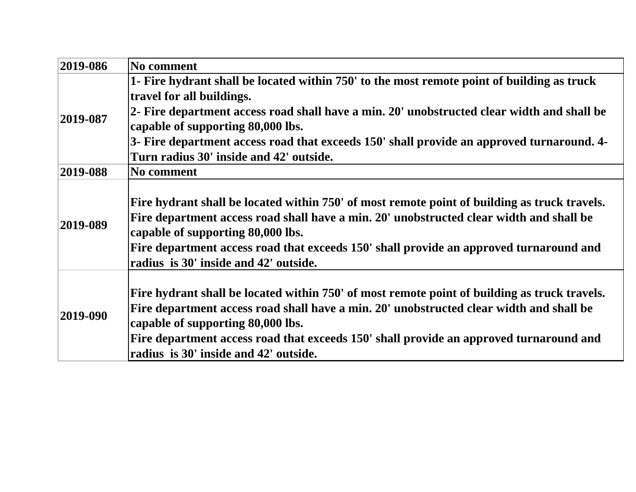| 2019-086       | No comment                                                                                   |
|----------------|----------------------------------------------------------------------------------------------|
| $ 2019-087 $   | 1- Fire hydrant shall be located within 750' to the most remote point of building as truck   |
|                | travel for all buildings.                                                                    |
|                | 2- Fire department access road shall have a min. 20' unobstructed clear width and shall be   |
|                | capable of supporting 80,000 lbs.                                                            |
|                | 3- Fire department access road that exceeds 150' shall provide an approved turnaround. 4-    |
|                | Turn radius 30' inside and 42' outside.                                                      |
| 2019-088       | No comment                                                                                   |
| 2019-089       |                                                                                              |
|                | Fire hydrant shall be located within 750' of most remote point of building as truck travels. |
|                | Fire department access road shall have a min. 20' unobstructed clear width and shall be      |
|                | capable of supporting 80,000 lbs.                                                            |
|                | Fire department access road that exceeds 150' shall provide an approved turnaround and       |
|                | radius is 30' inside and 42' outside.                                                        |
| $ 2019 - 090 $ |                                                                                              |
|                | Fire hydrant shall be located within 750' of most remote point of building as truck travels. |
|                | Fire department access road shall have a min. 20' unobstructed clear width and shall be      |
|                | capable of supporting 80,000 lbs.                                                            |
|                | Fire department access road that exceeds 150' shall provide an approved turnaround and       |
|                | radius is 30' inside and 42' outside.                                                        |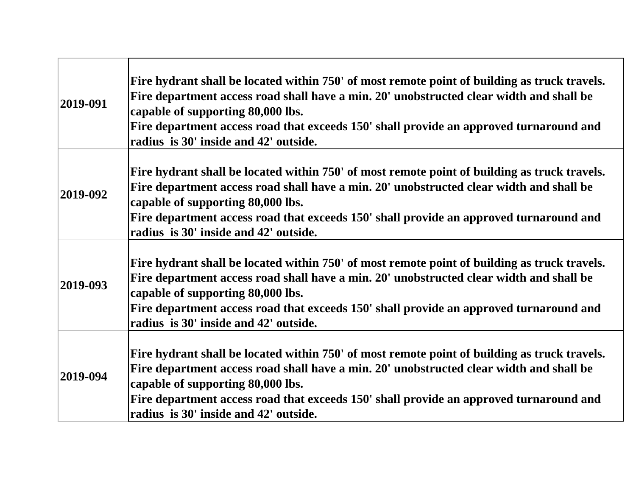| $ 2019-091 $ | Fire hydrant shall be located within 750' of most remote point of building as truck travels.<br>Fire department access road shall have a min. 20' unobstructed clear width and shall be<br>capable of supporting 80,000 lbs.<br>Fire department access road that exceeds 150' shall provide an approved turnaround and<br>radius is 30' inside and 42' outside. |
|--------------|-----------------------------------------------------------------------------------------------------------------------------------------------------------------------------------------------------------------------------------------------------------------------------------------------------------------------------------------------------------------|
| 2019-092     | Fire hydrant shall be located within 750' of most remote point of building as truck travels.<br>Fire department access road shall have a min. 20' unobstructed clear width and shall be<br>capable of supporting 80,000 lbs.<br>Fire department access road that exceeds 150' shall provide an approved turnaround and<br>radius is 30' inside and 42' outside. |
| $ 2019-093 $ | Fire hydrant shall be located within 750' of most remote point of building as truck travels.<br>Fire department access road shall have a min. 20' unobstructed clear width and shall be<br>capable of supporting 80,000 lbs.<br>Fire department access road that exceeds 150' shall provide an approved turnaround and<br>radius is 30' inside and 42' outside. |
| 2019-094     | Fire hydrant shall be located within 750' of most remote point of building as truck travels.<br>Fire department access road shall have a min. 20' unobstructed clear width and shall be<br>capable of supporting 80,000 lbs.<br>Fire department access road that exceeds 150' shall provide an approved turnaround and<br>radius is 30' inside and 42' outside. |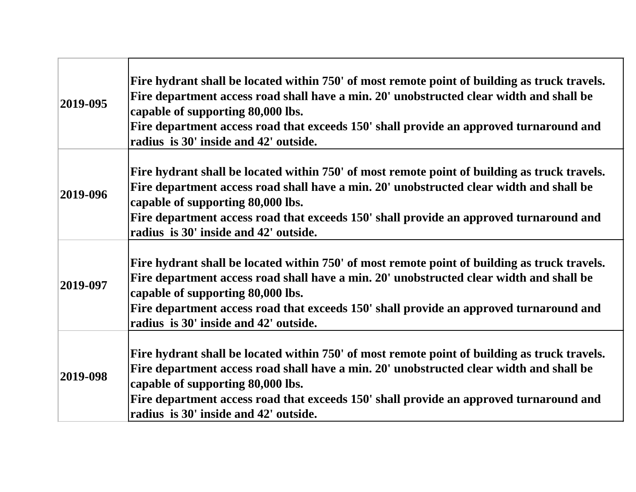| $ 2019-095 $ | Fire hydrant shall be located within 750' of most remote point of building as truck travels.<br>Fire department access road shall have a min. 20' unobstructed clear width and shall be<br>capable of supporting 80,000 lbs.<br>Fire department access road that exceeds 150' shall provide an approved turnaround and<br>radius is 30' inside and 42' outside. |
|--------------|-----------------------------------------------------------------------------------------------------------------------------------------------------------------------------------------------------------------------------------------------------------------------------------------------------------------------------------------------------------------|
| 2019-096     | Fire hydrant shall be located within 750' of most remote point of building as truck travels.<br>Fire department access road shall have a min. 20' unobstructed clear width and shall be<br>capable of supporting 80,000 lbs.<br>Fire department access road that exceeds 150' shall provide an approved turnaround and<br>radius is 30' inside and 42' outside. |
| 2019-097     | Fire hydrant shall be located within 750' of most remote point of building as truck travels.<br>Fire department access road shall have a min. 20' unobstructed clear width and shall be<br>capable of supporting 80,000 lbs.<br>Fire department access road that exceeds 150' shall provide an approved turnaround and<br>radius is 30' inside and 42' outside. |
| 2019-098     | Fire hydrant shall be located within 750' of most remote point of building as truck travels.<br>Fire department access road shall have a min. 20' unobstructed clear width and shall be<br>capable of supporting 80,000 lbs.<br>Fire department access road that exceeds 150' shall provide an approved turnaround and<br>radius is 30' inside and 42' outside. |